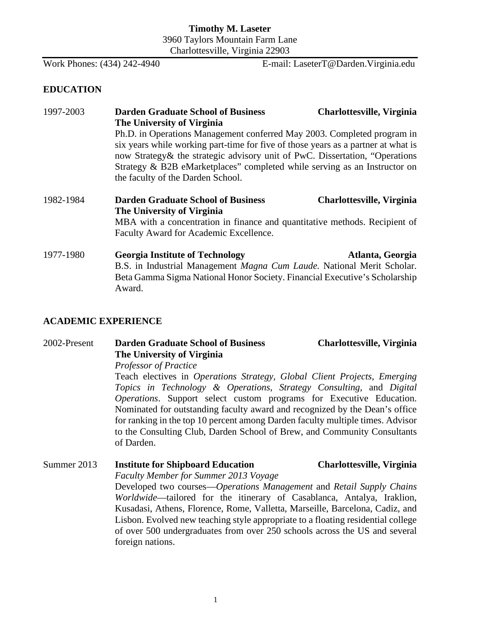### **Timothy M. Laseter** 3960 Taylors Mountain Farm Lane Charlottesville, Virginia 22903

Work Phones: (434) 242-4940 E-mail: LaseterT@Darden.Virginia.edu

### **EDUCATION**

# 1997-2003 **Darden Graduate School of Business Charlottesville, Virginia The University of Virginia** Ph.D. in Operations Management conferred May 2003. Completed program in six years while working part-time for five of those years as a partner at what is now Strategy& the strategic advisory unit of PwC. Dissertation, "Operations Strategy & B2B eMarketplaces" completed while serving as an Instructor on the faculty of the Darden School. 1982-1984 **Darden Graduate School of Business Charlottesville, Virginia**

### **The University of Virginia**

MBA with a concentration in finance and quantitative methods. Recipient of Faculty Award for Academic Excellence.

1977-1980 **Georgia Institute of Technology Atlanta, Georgia** B.S. in Industrial Management *Magna Cum Laude.* National Merit Scholar. Beta Gamma Sigma National Honor Society. Financial Executive's Scholarship Award.

### **ACADEMIC EXPERIENCE**

2002-Present **Darden Graduate School of Business Charlottesville, Virginia The University of Virginia** *Professor of Practice*

> Teach electives in *Operations Strategy, Global Client Projects, Emerging Topics in Technology & Operations, Strategy Consulting,* and *Digital Operations*. Support select custom programs for Executive Education. Nominated for outstanding faculty award and recognized by the Dean's office for ranking in the top 10 percent among Darden faculty multiple times. Advisor to the Consulting Club, Darden School of Brew, and Community Consultants of Darden.

### Summer 2013 **Institute for Shipboard Education Charlottesville, Virginia** *Faculty Member for Summer 2013 Voyage*  Developed two courses—*Operations Management* and *Retail Supply Chains Worldwide*—tailored for the itinerary of Casablanca, Antalya, Iraklion, Kusadasi, Athens, Florence, Rome, Valletta, Marseille, Barcelona, Cadiz, and Lisbon. Evolved new teaching style appropriate to a floating residential college of over 500 undergraduates from over 250 schools across the US and several foreign nations.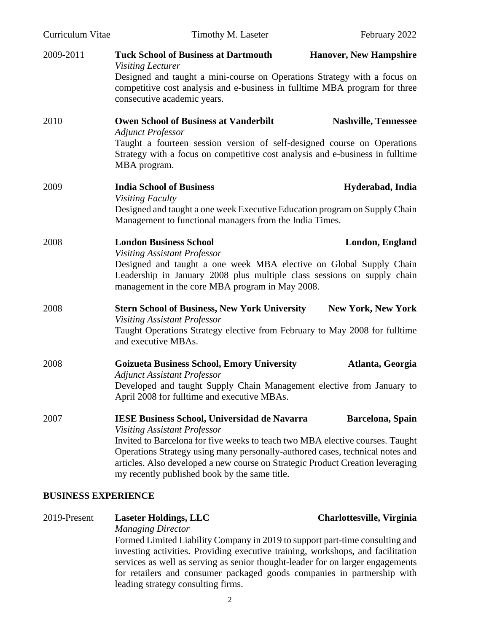| Curriculum Vitae | Timothy M. Laseter                                                                                                                                                                                                                                                                                                                                                                              | February 2022                 |
|------------------|-------------------------------------------------------------------------------------------------------------------------------------------------------------------------------------------------------------------------------------------------------------------------------------------------------------------------------------------------------------------------------------------------|-------------------------------|
| 2009-2011        | <b>Tuck School of Business at Dartmouth</b><br><b>Visiting Lecturer</b><br>Designed and taught a mini-course on Operations Strategy with a focus on<br>competitive cost analysis and e-business in fulltime MBA program for three<br>consecutive academic years.                                                                                                                                | <b>Hanover, New Hampshire</b> |
| 2010             | <b>Owen School of Business at Vanderbilt</b><br><b>Adjunct Professor</b><br>Taught a fourteen session version of self-designed course on Operations<br>Strategy with a focus on competitive cost analysis and e-business in fulltime<br>MBA program.                                                                                                                                            | <b>Nashville, Tennessee</b>   |
| 2009             | <b>India School of Business</b><br><b>Visiting Faculty</b><br>Designed and taught a one week Executive Education program on Supply Chain<br>Management to functional managers from the India Times.                                                                                                                                                                                             | Hyderabad, India              |
| 2008             | <b>London Business School</b><br><b>Visiting Assistant Professor</b><br>Designed and taught a one week MBA elective on Global Supply Chain<br>Leadership in January 2008 plus multiple class sessions on supply chain<br>management in the core MBA program in May 2008.                                                                                                                        | London, England               |
| 2008             | <b>Stern School of Business, New York University</b><br><b>Visiting Assistant Professor</b><br>Taught Operations Strategy elective from February to May 2008 for fulltime<br>and executive MBAs.                                                                                                                                                                                                | <b>New York, New York</b>     |
| 2008             | <b>Goizueta Business School, Emory University</b><br><b>Adjunct Assistant Professor</b><br>Developed and taught Supply Chain Management elective from January to<br>April 2008 for fulltime and executive MBAs.                                                                                                                                                                                 | Atlanta, Georgia              |
| 2007             | <b>IESE Business School, Universidad de Navarra</b><br><b>Visiting Assistant Professor</b><br>Invited to Barcelona for five weeks to teach two MBA elective courses. Taught<br>Operations Strategy using many personally-authored cases, technical notes and<br>articles. Also developed a new course on Strategic Product Creation leveraging<br>my recently published book by the same title. | Barcelona, Spain              |

### **BUSINESS EXPERIENCE**

| 2019-Present | <b>Laseter Holdings, LLC</b>                                                    | <b>Charlottesville, Virginia</b> |
|--------------|---------------------------------------------------------------------------------|----------------------------------|
|              | <b>Managing Director</b>                                                        |                                  |
|              | Formed Limited Liability Company in 2019 to support part-time consulting and    |                                  |
|              | investing activities. Providing executive training, workshops, and facilitation |                                  |
|              | services as well as serving as senior thought-leader for on larger engagements  |                                  |
|              | for retailers and consumer packaged goods companies in partnership with         |                                  |
|              | leading strategy consulting firms.                                              |                                  |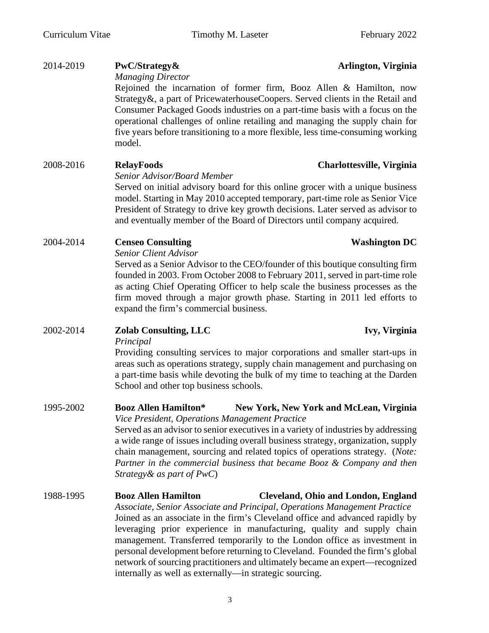| 2014-2019 | PwC/Strategy&<br>Arlington, Virginia<br><b>Managing Director</b>                                                                                                                                                                                                                                                                                                                                                                                                                   |  |
|-----------|------------------------------------------------------------------------------------------------------------------------------------------------------------------------------------------------------------------------------------------------------------------------------------------------------------------------------------------------------------------------------------------------------------------------------------------------------------------------------------|--|
|           | Rejoined the incarnation of former firm, Booz Allen & Hamilton, now<br>Strategy&, a part of PricewaterhouseCoopers. Served clients in the Retail and<br>Consumer Packaged Goods industries on a part-time basis with a focus on the<br>operational challenges of online retailing and managing the supply chain for<br>five years before transitioning to a more flexible, less time-consuming working<br>model.                                                                   |  |
| 2008-2016 | <b>RelayFoods</b><br>Charlottesville, Virginia                                                                                                                                                                                                                                                                                                                                                                                                                                     |  |
|           | Senior Advisor/Board Member<br>Served on initial advisory board for this online grocer with a unique business<br>model. Starting in May 2010 accepted temporary, part-time role as Senior Vice<br>President of Strategy to drive key growth decisions. Later served as advisor to<br>and eventually member of the Board of Directors until company acquired.                                                                                                                       |  |
| 2004-2014 | <b>Censeo Consulting</b><br><b>Washington DC</b>                                                                                                                                                                                                                                                                                                                                                                                                                                   |  |
|           | <b>Senior Client Advisor</b><br>Served as a Senior Advisor to the CEO/founder of this boutique consulting firm<br>founded in 2003. From October 2008 to February 2011, served in part-time role<br>as acting Chief Operating Officer to help scale the business processes as the<br>firm moved through a major growth phase. Starting in 2011 led efforts to<br>expand the firm's commercial business.                                                                             |  |
| 2002-2014 | <b>Zolab Consulting, LLC</b><br>Ivy, Virginia                                                                                                                                                                                                                                                                                                                                                                                                                                      |  |
|           | Principal<br>Providing consulting services to major corporations and smaller start-ups in<br>areas such as operations strategy, supply chain management and purchasing on<br>a part-time basis while devoting the bulk of my time to teaching at the Darden<br>School and other top business schools.                                                                                                                                                                              |  |
| 1995-2002 | <b>Booz Allen Hamilton*</b><br><b>New York, New York and McLean, Virginia</b>                                                                                                                                                                                                                                                                                                                                                                                                      |  |
|           | Vice President, Operations Management Practice<br>Served as an advisor to senior executives in a variety of industries by addressing<br>a wide range of issues including overall business strategy, organization, supply<br>chain management, sourcing and related topics of operations strategy. (Note:<br>Partner in the commercial business that became Booz & Company and then<br>Strategy & as part of $PwC$ )                                                                |  |
| 1988-1995 | <b>Booz Allen Hamilton</b><br><b>Cleveland, Ohio and London, England</b>                                                                                                                                                                                                                                                                                                                                                                                                           |  |
|           | Associate, Senior Associate and Principal, Operations Management Practice<br>Joined as an associate in the firm's Cleveland office and advanced rapidly by<br>leveraging prior experience in manufacturing, quality and supply chain<br>management. Transferred temporarily to the London office as investment in<br>personal development before returning to Cleveland. Founded the firm's global<br>network of sourcing practitioners and ultimately became an expert—recognized |  |

internally as well as externally—in strategic sourcing.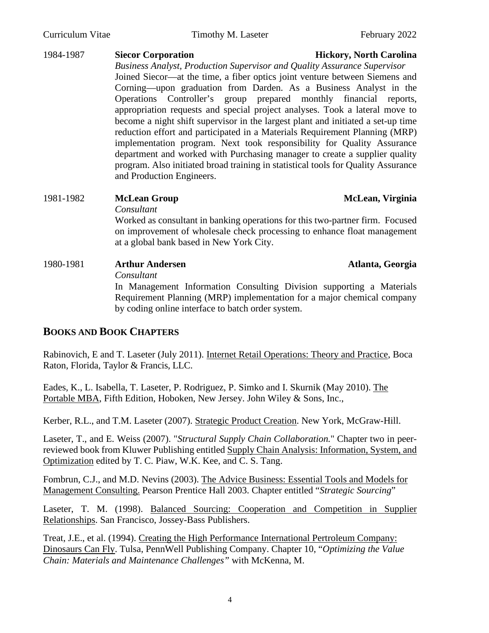### 1984-1987 **Siecor Corporation Hickory, North Carolina** *Business Analyst, Production Supervisor and Quality Assurance Supervisor* Joined Siecor—at the time, a fiber optics joint venture between Siemens and Corning—upon graduation from Darden. As a Business Analyst in the Operations Controller's group prepared monthly financial reports, appropriation requests and special project analyses. Took a lateral move to become a night shift supervisor in the largest plant and initiated a set-up time reduction effort and participated in a Materials Requirement Planning (MRP) implementation program. Next took responsibility for Quality Assurance department and worked with Purchasing manager to create a supplier quality program. Also initiated broad training in statistical tools for Quality Assurance and Production Engineers.

### 1981-1982 **McLean Group McLean, Virginia** *Consultant* Worked as consultant in banking operations for this two-partner firm. Focused

on improvement of wholesale check processing to enhance float management at a global bank based in New York City.

# 1980-1981 **Arthur Andersen Atlanta, Georgia** *Consultant* In Management Information Consulting Division supporting a Materials Requirement Planning (MRP) implementation for a major chemical company by coding online interface to batch order system.

# **BOOKS AND BOOK CHAPTERS**

Rabinovich, E and T. Laseter (July 2011). Internet Retail Operations: Theory and Practice, Boca Raton, Florida, Taylor & Francis, LLC.

Eades, K., L. Isabella, T. Laseter, P. Rodriguez, P. Simko and I. Skurnik (May 2010). The Portable MBA, Fifth Edition, Hoboken, New Jersey. John Wiley & Sons, Inc.,

Kerber, R.L., and T.M. Laseter (2007). Strategic Product Creation. New York, McGraw-Hill.

Laseter, T., and E. Weiss (2007). "*Structural Supply Chain Collaboration.*" Chapter two in peerreviewed book from Kluwer Publishing entitled Supply Chain Analysis: Information, System, and Optimization edited by T. C. Piaw, W.K. Kee, and C. S. Tang.

Fombrun, C.J., and M.D. Nevins (2003). The Advice Business: Essential Tools and Models for Management Consulting. Pearson Prentice Hall 2003. Chapter entitled "*Strategic Sourcing*"

Laseter, T. M. (1998). Balanced Sourcing: Cooperation and Competition in Supplier Relationships. San Francisco, Jossey-Bass Publishers.

Treat, J.E., et al. (1994). Creating the High Performance International Pertroleum Company: Dinosaurs Can Fly. Tulsa, PennWell Publishing Company. Chapter 10, "*Optimizing the Value Chain: Materials and Maintenance Challenges"* with McKenna, M.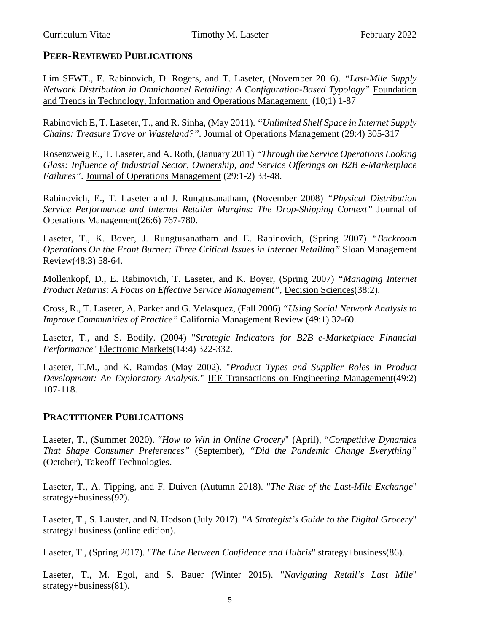# **PEER-REVIEWED PUBLICATIONS**

Lim SFWT., E. Rabinovich, D. Rogers, and T. Laseter, (November 2016). *"Last-Mile Supply Network Distribution in Omnichannel Retailing: A Configuration-Based Typology"* Foundation and Trends in Technology, Information and Operations Management (10;1) 1-87

Rabinovich E, T. Laseter, T., and R. Sinha, (May 2011). *"Unlimited Shelf Space in Internet Supply Chains: Treasure Trove or Wasteland?".* Journal of Operations Management (29:4) 305-317

Rosenzweig E., T. Laseter, and A. Roth, (January 2011) *"Through the Service Operations Looking Glass: Influence of Industrial Sector, Ownership, and Service Offerings on B2B e-Marketplace Failures"*. Journal of Operations Management (29:1-2) 33-48.

Rabinovich, E., T. Laseter and J. Rungtusanatham, (November 2008) *"Physical Distribution Service Performance and Internet Retailer Margins: The Drop-Shipping Context"* Journal of Operations Management(26:6) 767-780.

Laseter, T., K. Boyer, J. Rungtusanatham and E. Rabinovich, (Spring 2007) *"Backroom Operations On the Front Burner: Three Critical Issues in Internet Retailing"* Sloan Management Review(48:3) 58-64.

Mollenkopf, D., E. Rabinovich, T. Laseter, and K. Boyer, (Spring 2007) *"Managing Internet Product Returns: A Focus on Effective Service Management"*, Decision Sciences(38:2).

Cross, R., T. Laseter, A. Parker and G. Velasquez, (Fall 2006) *"Using Social Network Analysis to Improve Communities of Practice"* California Management Review (49:1) 32-60.

Laseter, T., and S. Bodily. (2004) "*Strategic Indicators for B2B e-Marketplace Financial Performance*" Electronic Markets(14:4) 322-332.

Laseter, T.M., and K. Ramdas (May 2002). "*Product Types and Supplier Roles in Product Development: An Exploratory Analysis.*" IEE Transactions on Engineering Management(49:2) 107-118.

# **PRACTITIONER PUBLICATIONS**

Laseter, T., (Summer 2020). "*How to Win in Online Grocery*" (April), "*Competitive Dynamics That Shape Consumer Preferences"* (September)*, "Did the Pandemic Change Everything"* (October), Takeoff Technologies.

Laseter, T., A. Tipping, and F. Duiven (Autumn 2018). "*The Rise of the Last-Mile Exchange*" strategy+business(92).

Laseter, T., S. Lauster, and N. Hodson (July 2017). "*A Strategist's Guide to the Digital Grocery*" strategy+business (online edition).

Laseter, T., (Spring 2017). "*The Line Between Confidence and Hubris*" strategy+business(86).

Laseter, T., M. Egol, and S. Bauer (Winter 2015). "*Navigating Retail's Last Mile*" strategy+business(81).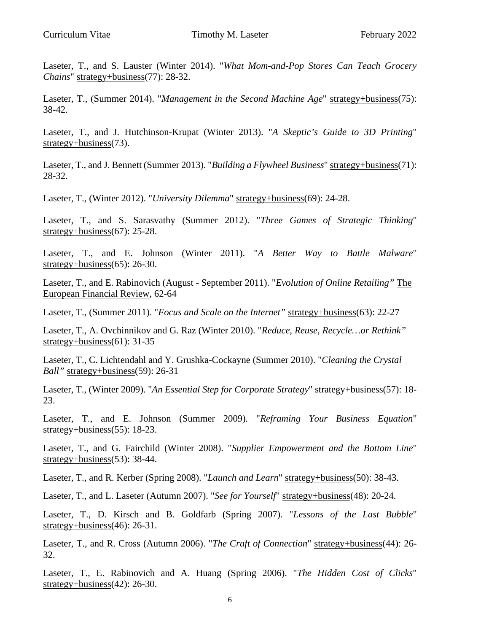Laseter, T., and S. Lauster (Winter 2014). "*What Mom-and-Pop Stores Can Teach Grocery Chains*" strategy+business(77): 28-32.

Laseter, T., (Summer 2014). "*Management in the Second Machine Age*" strategy+business(75): 38-42.

Laseter, T., and J. Hutchinson-Krupat (Winter 2013). "*A Skeptic's Guide to 3D Printing*" strategy+business(73).

Laseter, T., and J. Bennett (Summer 2013). "*Building a Flywheel Business*" strategy+business(71): 28-32.

Laseter, T., (Winter 2012). "*University Dilemma*" strategy+business(69): 24-28.

Laseter, T., and S. Sarasvathy (Summer 2012). "*Three Games of Strategic Thinking*" strategy+business(67): 25-28.

Laseter, T., and E. Johnson (Winter 2011). "*A Better Way to Battle Malware*" strategy+business(65): 26-30.

Laseter, T., and E. Rabinovich (August - September 2011). "*Evolution of Online Retailing"* The European Financial Review, 62-64

Laseter, T., (Summer 2011). "*Focus and Scale on the Internet"* strategy+business(63): 22-27

Laseter, T., A. Ovchinnikov and G. Raz (Winter 2010). "*Reduce, Reuse, Recycle…or Rethink"* strategy+business(61): 31-35

Laseter, T., C. Lichtendahl and Y. Grushka-Cockayne (Summer 2010). "*Cleaning the Crystal Ball"* strategy+business(59): 26-31

Laseter, T., (Winter 2009). "*An Essential Step for Corporate Strategy*" strategy+business(57): 18- 23.

Laseter, T., and E. Johnson (Summer 2009). "*Reframing Your Business Equation*" strategy+business(55): 18-23.

Laseter, T., and G. Fairchild (Winter 2008). "*Supplier Empowerment and the Bottom Line*" strategy+business(53): 38-44.

Laseter, T., and R. Kerber (Spring 2008). "*Launch and Learn*" strategy+business(50): 38-43.

Laseter, T., and L. Laseter (Autumn 2007). "*See for Yourself*" strategy+business(48): 20-24.

Laseter, T., D. Kirsch and B. Goldfarb (Spring 2007). "*Lessons of the Last Bubble*" strategy+business(46): 26-31.

Laseter, T., and R. Cross (Autumn 2006). "*The Craft of Connection*" strategy+business(44): 26- 32.

Laseter, T., E. Rabinovich and A. Huang (Spring 2006). "*The Hidden Cost of Clicks*" strategy+business(42): 26-30.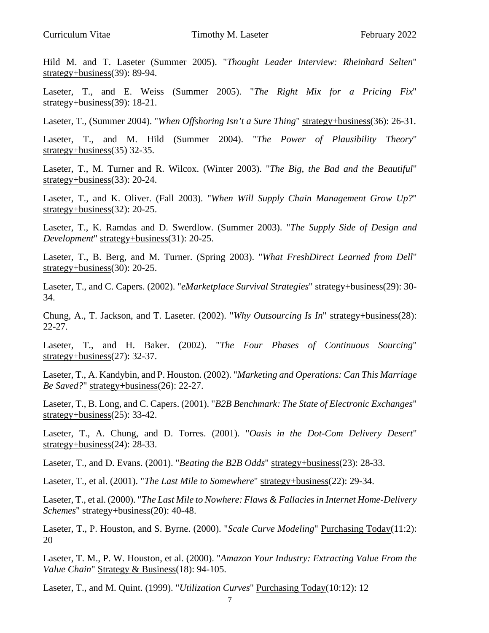Hild M. and T. Laseter (Summer 2005). "*Thought Leader Interview: Rheinhard Selten*" strategy+business(39): 89-94.

Laseter, T., and E. Weiss (Summer 2005). "*The Right Mix for a Pricing Fix*" strategy+business(39): 18-21.

Laseter, T., (Summer 2004). "*When Offshoring Isn't a Sure Thing*" strategy+business(36): 26-31.

Laseter, T., and M. Hild (Summer 2004). "*The Power of Plausibility Theory*" strategy+business(35) 32-35.

Laseter, T., M. Turner and R. Wilcox. (Winter 2003). "*The Big, the Bad and the Beautiful*" strategy+business(33): 20-24.

Laseter, T., and K. Oliver. (Fall 2003). "*When Will Supply Chain Management Grow Up?*" strategy+business(32): 20-25.

Laseter, T., K. Ramdas and D. Swerdlow. (Summer 2003). "*The Supply Side of Design and Development*" strategy+business(31): 20-25.

Laseter, T., B. Berg, and M. Turner. (Spring 2003). "*What FreshDirect Learned from Dell*" strategy+business(30): 20-25.

Laseter, T., and C. Capers. (2002). "*eMarketplace Survival Strategies*" strategy+business(29): 30- 34.

Chung, A., T. Jackson, and T. Laseter. (2002). "*Why Outsourcing Is In*" strategy+business(28): 22-27.

Laseter, T., and H. Baker. (2002). "*The Four Phases of Continuous Sourcing*" strategy+business(27): 32-37.

Laseter, T., A. Kandybin, and P. Houston. (2002). "*Marketing and Operations: Can This Marriage Be Saved?*" strategy+business(26): 22-27.

Laseter, T., B. Long, and C. Capers. (2001). "*B2B Benchmark: The State of Electronic Exchanges*" strategy+business(25): 33-42.

Laseter, T., A. Chung, and D. Torres. (2001). "*Oasis in the Dot-Com Delivery Desert*" strategy+business(24): 28-33.

Laseter, T., and D. Evans. (2001). "*Beating the B2B Odds*" strategy+business(23): 28-33.

Laseter, T., et al. (2001). "*The Last Mile to Somewhere*" strategy+business(22): 29-34.

Laseter, T., et al. (2000). "*The Last Mile to Nowhere: Flaws & Fallacies in Internet Home-Delivery Schemes*" strategy+business(20): 40-48.

Laseter, T., P. Houston, and S. Byrne. (2000). "*Scale Curve Modeling*" Purchasing Today(11:2): 20

Laseter, T. M., P. W. Houston, et al. (2000). "*Amazon Your Industry: Extracting Value From the Value Chain*" Strategy & Business(18): 94-105.

Laseter, T., and M. Quint. (1999). "*Utilization Curves*" Purchasing Today(10:12): 12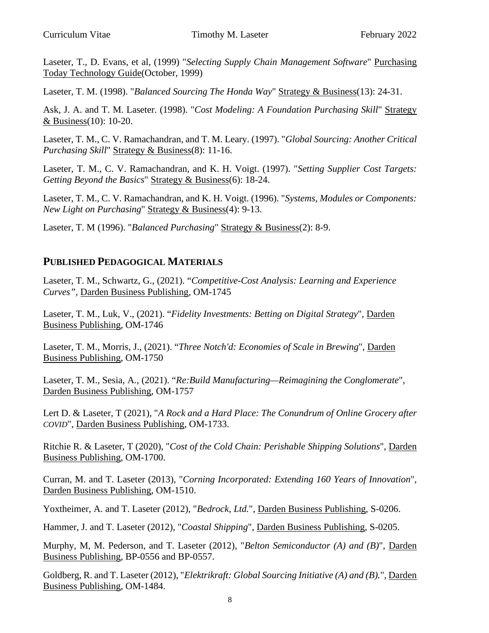Laseter, T., D. Evans, et al, (1999) "*Selecting Supply Chain Management Software*" Purchasing Today Technology Guide(October, 1999)

Laseter, T. M. (1998). "*Balanced Sourcing The Honda Way*" Strategy & Business(13): 24-31.

Ask, J. A. and T. M. Laseter. (1998). "*Cost Modeling: A Foundation Purchasing Skill*" Strategy & Business(10): 10-20.

Laseter, T. M., C. V. Ramachandran, and T. M. Leary. (1997). "*Global Sourcing: Another Critical Purchasing Skill*" Strategy & Business(8): 11-16.

Laseter, T. M., C. V. Ramachandran, and K. H. Voigt. (1997). "*Setting Supplier Cost Targets: Getting Beyond the Basics*" Strategy & Business(6): 18-24.

Laseter, T. M., C. V. Ramachandran, and K. H. Voigt. (1996). "*Systems, Modules or Components: New Light on Purchasing*" Strategy & Business(4): 9-13.

Laseter, T. M (1996). "*Balanced Purchasing*" Strategy & Business(2): 8-9.

# **PUBLISHED PEDAGOGICAL MATERIALS**

Laseter, T. M., Schwartz, G., (2021). "*Competitive-Cost Analysis: Learning and Experience Curves",* Darden Business Publishing, OM-1745

Laseter, T. M., Luk, V., (2021). "*Fidelity Investments: Betting on Digital Strategy*", Darden Business Publishing, OM-1746

Laseter, T. M., Morris, J., (2021). "*Three Notch'd: Economies of Scale in Brewing*", Darden Business Publishing, OM-1750

Laseter, T. M., Sesia, A., (2021). "*Re:Build Manufacturing—Reimagining the Conglomerate*", Darden Business Publishing, OM-1757

Lert D. & Laseter, T (2021), "*A Rock and a Hard Place: The Conundrum of Online Grocery after COVID*", Darden Business Publishing, OM-1733.

Ritchie R. & Laseter, T (2020), "*Cost of the Cold Chain: Perishable Shipping Solutions*", Darden Business Publishing, OM-1700.

Curran, M. and T. Laseter (2013), "*Corning Incorporated: Extending 160 Years of Innovation*", Darden Business Publishing, OM-1510.

Yoxtheimer, A. and T. Laseter (2012), "Bedrock, Ltd.", Darden Business Publishing, S-0206.

Hammer, J. and T. Laseter (2012), "*Coastal Shipping*", Darden Business Publishing, S-0205.

Murphy, M, M. Pederson, and T. Laseter (2012), "*Belton Semiconductor (A) and (B)*", Darden Business Publishing, BP-0556 and BP-0557.

Goldberg, R. and T. Laseter (2012), "*Elektrikraft: Global Sourcing Initiative (A) and (B).*", Darden Business Publishing, OM-1484.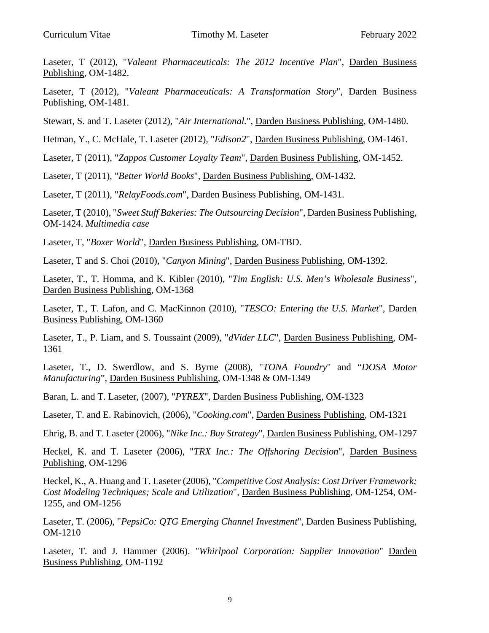Laseter, T (2012), "*Valeant Pharmaceuticals: The 2012 Incentive Plan*", Darden Business Publishing, OM-1482.

Laseter, T (2012), "*Valeant Pharmaceuticals: A Transformation Story*", Darden Business Publishing, OM-1481.

Stewart, S. and T. Laseter (2012), "*Air International.*", Darden Business Publishing, OM-1480.

Hetman, Y., C. McHale, T. Laseter (2012), "*Edison2*", Darden Business Publishing, OM-1461.

Laseter, T (2011), "*Zappos Customer Loyalty Team*", Darden Business Publishing, OM-1452.

Laseter, T (2011), "*Better World Books*", Darden Business Publishing, OM-1432.

Laseter, T (2011), "*RelayFoods.com*", Darden Business Publishing, OM-1431.

Laseter, T (2010), "*Sweet Stuff Bakeries: The Outsourcing Decision*", Darden Business Publishing, OM-1424. *Multimedia case*

Laseter, T, "*Boxer World*", Darden Business Publishing, OM-TBD.

Laseter, T and S. Choi (2010), "*Canyon Mining*", Darden Business Publishing, OM-1392.

Laseter, T., T. Homma, and K. Kibler (2010), "*Tim English: U.S. Men's Wholesale Business*", Darden Business Publishing, OM-1368

Laseter, T., T. Lafon, and C. MacKinnon (2010), "*TESCO: Entering the U.S. Market*", Darden Business Publishing, OM-1360

Laseter, T., P. Liam, and S. Toussaint (2009), "*dVider LLC*", Darden Business Publishing, OM-1361

Laseter, T., D. Swerdlow, and S. Byrne (2008), "*TONA Foundry*" and "*DOSA Motor Manufacturing*", Darden Business Publishing, OM-1348 & OM-1349

Baran, L. and T. Laseter, (2007), "*PYREX*", Darden Business Publishing, OM-1323

Laseter, T. and E. Rabinovich, (2006), "*Cooking.com*", Darden Business Publishing, OM-1321

Ehrig, B. and T. Laseter (2006), "*Nike Inc.: Buy Strategy*", Darden Business Publishing, OM-1297

Heckel, K. and T. Laseter (2006), "*TRX Inc.: The Offshoring Decision*", Darden Business Publishing, OM-1296

Heckel, K., A. Huang and T. Laseter (2006), "*Competitive Cost Analysis: Cost Driver Framework; Cost Modeling Techniques; Scale and Utilization*", Darden Business Publishing, OM-1254, OM-1255, and OM-1256

Laseter, T. (2006), "*PepsiCo: QTG Emerging Channel Investment*", Darden Business Publishing, OM-1210

Laseter, T. and J. Hammer (2006). "*Whirlpool Corporation: Supplier Innovation*" Darden Business Publishing, OM-1192